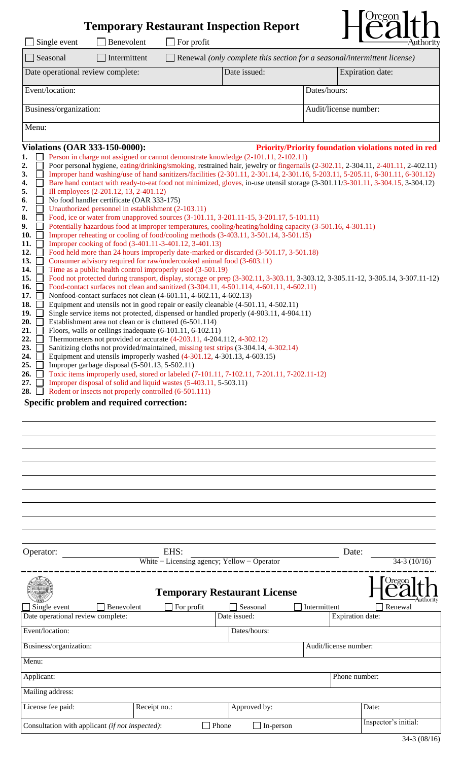# **Temporary Restaurant Inspection Report**



| Single event<br>Benevolent<br>For profit                                                                                                                                                                                           |              | ┚<br>$\overline{\phantom{a}}$ $\overline{\phantom{a}}$<br>-Authority     |  |  |  |  |  |  |  |
|------------------------------------------------------------------------------------------------------------------------------------------------------------------------------------------------------------------------------------|--------------|--------------------------------------------------------------------------|--|--|--|--|--|--|--|
| Seasonal<br>Intermittent                                                                                                                                                                                                           |              | Renewal (only complete this section for a seasonal/intermittent license) |  |  |  |  |  |  |  |
| Date operational review complete:                                                                                                                                                                                                  | Date issued: | Expiration date:                                                         |  |  |  |  |  |  |  |
| Event/location:                                                                                                                                                                                                                    |              | Dates/hours:                                                             |  |  |  |  |  |  |  |
| Business/organization:                                                                                                                                                                                                             |              | Audit/license number:                                                    |  |  |  |  |  |  |  |
| Menu:                                                                                                                                                                                                                              |              |                                                                          |  |  |  |  |  |  |  |
| <b>Violations (OAR 333-150-0000):</b>                                                                                                                                                                                              |              | <b>Priority/Priority foundation violations noted in red</b>              |  |  |  |  |  |  |  |
| 1.<br>Person in charge not assigned or cannot demonstrate knowledge (2-101.11, 2-102.11)<br>Poor personal hygiene, eating/drinking/smoking, restrained hair, jewelry or fingernails (2-302.11, 2-304.11, 2-401.11, 2-402.11)<br>2. |              |                                                                          |  |  |  |  |  |  |  |
| Improper hand washing/use of hand sanitizers/facilities (2-301.11, 2-301.14, 2-301.16, 5-203.11, 5-205.11, 6-301.11, 6-301.12)<br>3.                                                                                               |              |                                                                          |  |  |  |  |  |  |  |
| Bare hand contact with ready-to-eat food not minimized, gloves, in-use utensil storage (3-301.11/3-301.11, 3-304.15, 3-304.12)<br>4.                                                                                               |              |                                                                          |  |  |  |  |  |  |  |
| 5.<br>Ill employees (2-201.12, 13, 2-401.12)                                                                                                                                                                                       |              |                                                                          |  |  |  |  |  |  |  |
| No food handler certificate (OAR 333-175)<br>6.                                                                                                                                                                                    |              |                                                                          |  |  |  |  |  |  |  |
| Unauthorized personnel in establishment (2-103.11)<br>7.                                                                                                                                                                           |              |                                                                          |  |  |  |  |  |  |  |
| Food, ice or water from unapproved sources (3-101.11, 3-201.11-15, 3-201.17, 5-101.11)<br>8.<br>Potentially hazardous food at improper temperatures, cooling/heating/holding capacity (3-501.16, 4-301.11)<br>9.                   |              |                                                                          |  |  |  |  |  |  |  |
| Improper reheating or cooling of food/cooling methods (3-403.11, 3-501.14, 3-501.15)<br>10.                                                                                                                                        |              |                                                                          |  |  |  |  |  |  |  |
| Improper cooking of food (3-401.11-3-401.12, 3-401.13)<br>11.                                                                                                                                                                      |              |                                                                          |  |  |  |  |  |  |  |
| 12.<br>Food held more than 24 hours improperly date-marked or discarded (3-501.17, 3-501.18)                                                                                                                                       |              |                                                                          |  |  |  |  |  |  |  |
| Consumer advisory required for raw/undercooked animal food (3-603.11)<br>13.                                                                                                                                                       |              |                                                                          |  |  |  |  |  |  |  |
| Time as a public health control improperly used (3-501.19)<br>14.                                                                                                                                                                  |              |                                                                          |  |  |  |  |  |  |  |
| 15.<br>Food not protected during transport, display, storage or prep (3-302.11, 3-303.11, 3-303.12, 3-305.11-12, 3-305.14, 3-307.11-12)                                                                                            |              |                                                                          |  |  |  |  |  |  |  |
| Food-contact surfaces not clean and sanitized (3-304.11, 4-501.114, 4-601.11, 4-602.11)<br>16.                                                                                                                                     |              |                                                                          |  |  |  |  |  |  |  |
| 17.<br>Nonfood-contact surfaces not clean (4-601.11, 4-602.11, 4-602.13)                                                                                                                                                           |              |                                                                          |  |  |  |  |  |  |  |
| 18.<br>Equipment and utensils not in good repair or easily cleanable (4-501.11, 4-502.11)                                                                                                                                          |              |                                                                          |  |  |  |  |  |  |  |
| 19.<br>Single service items not protected, dispensed or handled properly (4-903.11, 4-904.11)<br>Establishment area not clean or is cluttered (6-501.114)<br>20.                                                                   |              |                                                                          |  |  |  |  |  |  |  |
| Floors, walls or ceilings inadequate (6-101.11, 6-102.11)<br>21.                                                                                                                                                                   |              |                                                                          |  |  |  |  |  |  |  |
| Thermometers not provided or accurate (4-203.11, 4-204.112, 4-302.12)<br>22.                                                                                                                                                       |              |                                                                          |  |  |  |  |  |  |  |
| Sanitizing cloths not provided/maintained, missing test strips (3-304.14, 4-302.14)<br>23.                                                                                                                                         |              |                                                                          |  |  |  |  |  |  |  |
| Equipment and utensils improperly washed $(4-301.12, 4-301.13, 4-603.15)$<br>24.                                                                                                                                                   |              |                                                                          |  |  |  |  |  |  |  |
| Improper garbage disposal (5-501.13, 5-502.11)<br>25.                                                                                                                                                                              |              |                                                                          |  |  |  |  |  |  |  |
| 26.<br>Toxic items improperly used, stored or labeled (7-101.11, 7-102.11, 7-201.11, 7-202.11-12)                                                                                                                                  |              |                                                                          |  |  |  |  |  |  |  |
| Improper disposal of solid and liquid wastes (5-403.11, 5-503.11)<br>27.                                                                                                                                                           |              |                                                                          |  |  |  |  |  |  |  |
| Rodent or insects not properly controlled (6-501.111)<br>28.                                                                                                                                                                       |              |                                                                          |  |  |  |  |  |  |  |
| Specific problem and required correction:                                                                                                                                                                                          |              |                                                                          |  |  |  |  |  |  |  |

| Operator:                                       | EHS:       |                                     |       |                       | Date:         |              |                         |
|-------------------------------------------------|------------|-------------------------------------|-------|-----------------------|---------------|--------------|-------------------------|
| White $-$ Licensing agency; Yellow $-$ Operator |            |                                     |       |                       |               |              |                         |
|                                                 |            | <b>Temporary Restaurant License</b> |       |                       |               |              | O <sub>region</sub>     |
| Single event                                    | Benevolent | For profit                          |       | Seasonal              |               | Intermittent | Renewal                 |
| Date operational review complete:               |            |                                     |       | Date issued:          |               |              | <b>Expiration date:</b> |
| Event/location:                                 |            |                                     |       | Dates/hours:          |               |              |                         |
| Business/organization:                          |            |                                     |       | Audit/license number: |               |              |                         |
| Menu:                                           |            |                                     |       |                       |               |              |                         |
| Applicant:                                      |            |                                     |       |                       | Phone number: |              |                         |
| Mailing address:                                |            |                                     |       |                       |               |              |                         |
| License fee paid:                               |            | Receipt no.:                        |       | Approved by:          |               |              | Date:                   |
| Consultation with applicant (if not inspected): |            |                                     | Phone | In-person             |               |              | Inspector's initial:    |